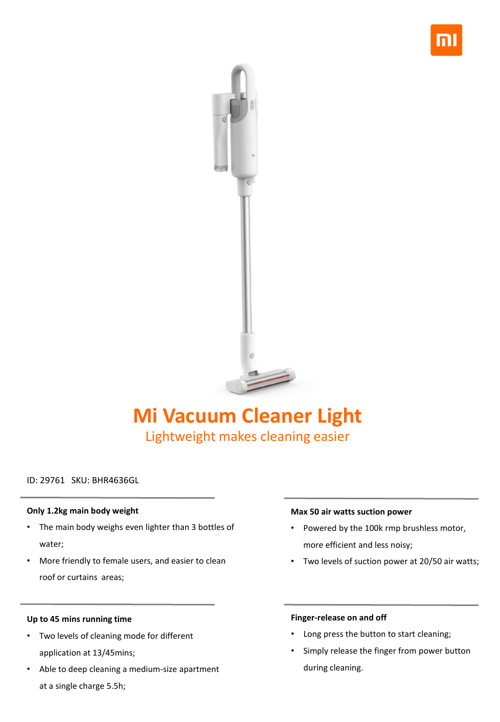



# **Mi Vacuum Cleaner Light** Lightweight makes cleaning easier

# ID: 29761 SKU: BHR4636GL

## **Only 1.2kg main body weight**

- The main body weighs even lighter than 3 bottles of water;
- More friendly to female users, and easier to clean roof or curtains areas;

# **Up to 45 mins running time**

- Two levels of cleaning mode for different application at 13/45mins;
- Able to deep cleaning a medium-size apartment at a single charge 5.5h;

#### **Max 50 air watts suction power**

- Powered by the 100k rmp brushless motor, more efficient and less noisy;
- Two levels of suction power at 20/50 air watts;

## **Finger-release on and off**

- Long press the button to start cleaning;
- Simply release the finger from power button during cleaning.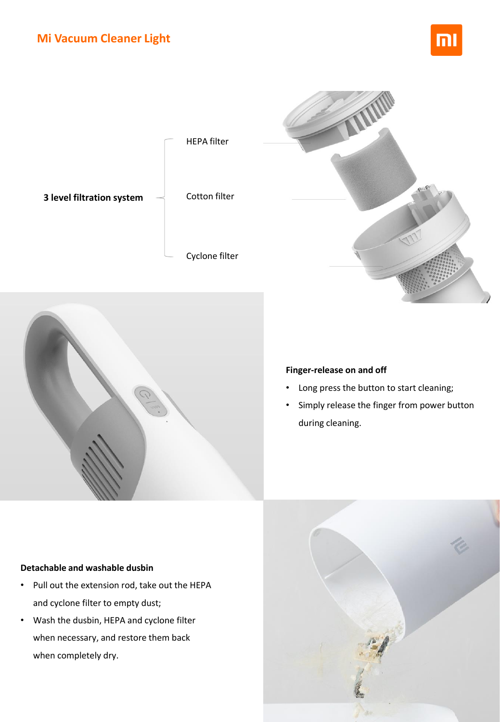







# **Finger-release on and off**

- Long press the button to start cleaning;
- Simply release the finger from power button during cleaning.

# **Detachable and washable dusbin**

- Pull out the extension rod, take out the HEPA and cyclone filter to empty dust;
- Wash the dusbin, HEPA and cyclone filter when necessary, and restore them back when completely dry.